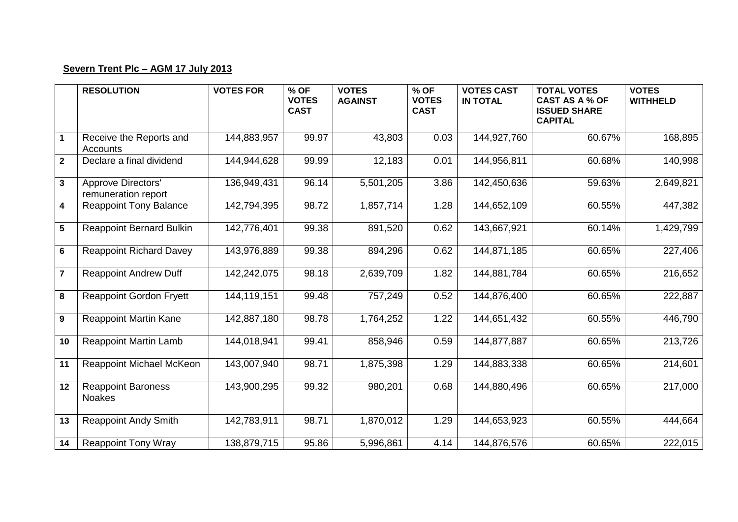## **Severn Trent Plc – AGM 17 July 2013**

|                         | <b>RESOLUTION</b>                                | <b>VOTES FOR</b> | % OF<br><b>VOTES</b><br><b>CAST</b> | <b>VOTES</b><br><b>AGAINST</b> | % OF<br><b>VOTES</b><br><b>CAST</b> | <b>VOTES CAST</b><br><b>IN TOTAL</b> | <b>TOTAL VOTES</b><br><b>CAST AS A % OF</b><br><b>ISSUED SHARE</b><br><b>CAPITAL</b> | <b>VOTES</b><br><b>WITHHELD</b> |
|-------------------------|--------------------------------------------------|------------------|-------------------------------------|--------------------------------|-------------------------------------|--------------------------------------|--------------------------------------------------------------------------------------|---------------------------------|
| $\mathbf 1$             | Receive the Reports and<br>Accounts              | 144,883,957      | 99.97                               | 43,803                         | 0.03                                | 144,927,760                          | 60.67%                                                                               | 168,895                         |
| $\overline{2}$          | Declare a final dividend                         | 144,944,628      | 99.99                               | 12,183                         | 0.01                                | 144,956,811                          | 60.68%                                                                               | 140,998                         |
| $\mathbf{3}$            | <b>Approve Directors'</b><br>remuneration report | 136,949,431      | 96.14                               | 5,501,205                      | 3.86                                | 142,450,636                          | 59.63%                                                                               | 2,649,821                       |
| $\overline{\mathbf{4}}$ | <b>Reappoint Tony Balance</b>                    | 142,794,395      | 98.72                               | 1,857,714                      | 1.28                                | 144,652,109                          | 60.55%                                                                               | 447,382                         |
| $5\phantom{.0}$         | <b>Reappoint Bernard Bulkin</b>                  | 142,776,401      | 99.38                               | 891,520                        | 0.62                                | 143,667,921                          | 60.14%                                                                               | 1,429,799                       |
| $6\phantom{1}$          | <b>Reappoint Richard Davey</b>                   | 143,976,889      | 99.38                               | 894,296                        | 0.62                                | 144,871,185                          | 60.65%                                                                               | 227,406                         |
| $\overline{7}$          | <b>Reappoint Andrew Duff</b>                     | 142,242,075      | 98.18                               | 2,639,709                      | 1.82                                | 144,881,784                          | 60.65%                                                                               | 216,652                         |
| 8                       | <b>Reappoint Gordon Fryett</b>                   | 144,119,151      | 99.48                               | 757,249                        | 0.52                                | 144,876,400                          | 60.65%                                                                               | 222,887                         |
| $\mathbf{9}$            | <b>Reappoint Martin Kane</b>                     | 142,887,180      | 98.78                               | 1,764,252                      | 1.22                                | 144,651,432                          | 60.55%                                                                               | 446,790                         |
| 10                      | <b>Reappoint Martin Lamb</b>                     | 144,018,941      | 99.41                               | 858,946                        | 0.59                                | 144,877,887                          | 60.65%                                                                               | 213,726                         |
| 11                      | Reappoint Michael McKeon                         | 143,007,940      | 98.71                               | 1,875,398                      | 1.29                                | 144,883,338                          | 60.65%                                                                               | 214,601                         |
| 12                      | <b>Reappoint Baroness</b><br><b>Noakes</b>       | 143,900,295      | 99.32                               | 980,201                        | 0.68                                | 144,880,496                          | 60.65%                                                                               | 217,000                         |
| 13                      | <b>Reappoint Andy Smith</b>                      | 142,783,911      | 98.71                               | 1,870,012                      | 1.29                                | 144,653,923                          | 60.55%                                                                               | 444,664                         |
| 14                      | <b>Reappoint Tony Wray</b>                       | 138,879,715      | 95.86                               | 5,996,861                      | 4.14                                | 144,876,576                          | 60.65%                                                                               | 222,015                         |